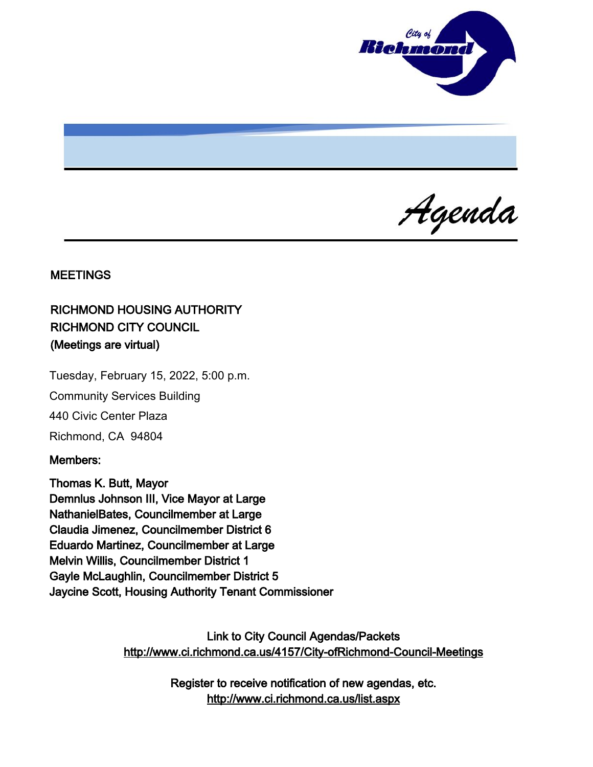

Agenda

#### **MEETINGS**

# RICHMOND HOUSING AUTHORITY RICHMOND CITY COUNCIL (Meetings are virtual)

Tuesday, February 15, 2022, 5:00 p.m. Community Services Building 440 Civic Center Plaza Richmond, CA 94804

### Members:

Thomas K. Butt, Mayor Demnlus Johnson III, Vice Mayor at Large NathanielBates, Councilmember at Large Claudia Jimenez, Councilmember District 6 Eduardo Martinez, Councilmember at Large Melvin Willis, Councilmember District 1 Gayle McLaughlin, Councilmember District 5 Jaycine Scott, Housing Authority Tenant Commissioner

> Link to City Council Agendas/Packets <http://www.ci.richmond.ca.us/4157/City-ofRichmond-Council-Meetings>

> > Register to receive notification of new agendas, etc. <http://www.ci.richmond.ca.us/list.aspx>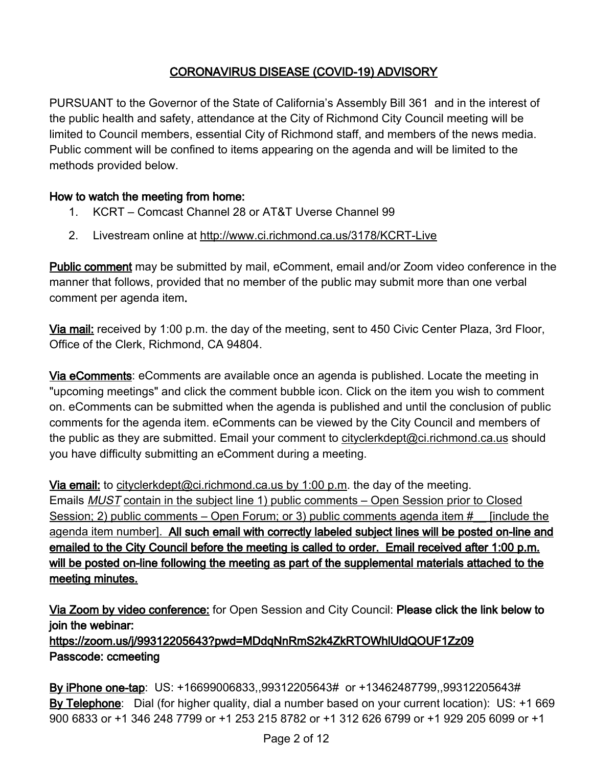# CORONAVIRUS DISEASE (COVID-19) ADVISORY

PURSUANT to the Governor of the State of California's Assembly Bill 361 and in the interest of the public health and safety, attendance at the City of Richmond City Council meeting will be limited to Council members, essential City of Richmond staff, and members of the news media. Public comment will be confined to items appearing on the agenda and will be limited to the methods provided below.

## How to watch the meeting from home:

- 1. KCRT Comcast Channel 28 or AT&T Uverse Channel 99
- 2. Livestream online at <http://www.ci.richmond.ca.us/3178/KCRT-Live>

Public comment may be submitted by mail, eComment, email and/or Zoom video conference in the manner that follows, provided that no member of the public may submit more than one verbal comment per agenda item.

Via mail: received by 1:00 p.m. the day of the meeting, sent to 450 Civic Center Plaza, 3rd Floor, Office of the Clerk, Richmond, CA 94804.

Via eComments: eComments are available once an agenda is published. Locate the meeting in "upcoming meetings" and click the comment bubble icon. Click on the item you wish to comment on. eComments can be submitted when the agenda is published and until the conclusion of public comments for the agenda item. eComments can be viewed by the City Council and members of the public as they are submitted. Email your comment to [cityclerkdept@ci.richmond.ca.us](mailto:cityclerkdept@ci.richmond.ca.us) should you have difficulty submitting an eComment during a meeting.

Via email: to [cityclerkdept@ci.richmond.ca.us](mailto:cityclerkdept@ci.richmond.ca.us) by 1:00 p.m. the day of the meeting. Emails MUST contain in the subject line 1) public comments – Open Session prior to Closed Session; 2) public comments – Open Forum; or 3) public comments agenda item # [include the agenda item number]. All such email with correctly labeled subject lines will be posted on-line and emailed to the City Council before the meeting is called to order. Email received after 1:00 p.m. will be posted on-line following the meeting as part of the supplemental materials attached to the meeting minutes.

Via Zoom by video conference: for Open Session and City Council: Please click the link below to join the webinar: https://zoom.us/j/99312205643?pwd=MDdqNnRmS2k4ZkRTOWhlUldQOUF1Zz09 Passcode: ccmeeting

By iPhone one-tap: US: +16699006833,,99312205643# or +13462487799,,99312205643# By Telephone: Dial (for higher quality, dial a number based on your current location): US: +1 669 900 6833 or +1 346 248 7799 or +1 253 215 8782 or +1 312 626 6799 or +1 929 205 6099 or +1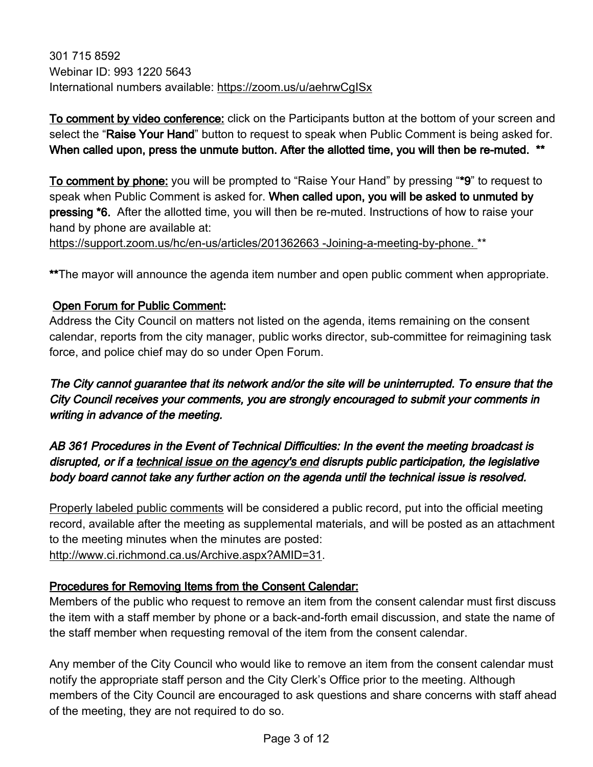301 715 8592 Webinar ID: 993 1220 5643 International numbers available: <https://zoom.us/u/aehrwCgISx>

To comment by video conference: click on the Participants button at the bottom of your screen and select the "Raise Your Hand" button to request to speak when Public Comment is being asked for. When called upon, press the unmute button. After the allotted time, you will then be re-muted. \*\*

To comment by phone: you will be prompted to "Raise Your Hand" by pressing "\*9" to request to speak when Public Comment is asked for. When called upon, you will be asked to unmuted by pressing \*6. After the allotted time, you will then be re-muted. Instructions of how to raise your hand by phone are available at:

[https://support.zoom.us/hc/en-us/articles/201362663 -Joining-a-meeting-by-phone.](https://support.zoom.us/hc/en-us/articles/201362663%20-Joining-a-meeting-by-phone.) \*\*

\*\*The mayor will announce the agenda item number and open public comment when appropriate.

## Open Forum for Public Comment:

Address the City Council on matters not listed on the agenda, items remaining on the consent calendar, reports from the city manager, public works director, sub-committee for reimagining task force, and police chief may do so under Open Forum.

The City cannot guarantee that its network and/or the site will be uninterrupted. To ensure that the City Council receives your comments, you are strongly encouraged to submit your comments in writing in advance of the meeting.

# AB 361 Procedures in the Event of Technical Difficulties: In the event the meeting broadcast is disrupted, or if a technical issue on the agency's end disrupts public participation, the legislative body board cannot take any further action on the agenda until the technical issue is resolved.

Properly labeled public comments will be considered a public record, put into the official meeting record, available after the meeting as supplemental materials, and will be posted as an attachment to the meeting minutes when the minutes are posted: [http://www.ci.richmond.ca.us/Archive.aspx?AMID=31.](http://www.ci.richmond.ca.us/Archive.aspx?AMID=31)

### Procedures for Removing Items from the Consent Calendar:

Members of the public who request to remove an item from the consent calendar must first discuss the item with a staff member by phone or a back-and-forth email discussion, and state the name of the staff member when requesting removal of the item from the consent calendar.

Any member of the City Council who would like to remove an item from the consent calendar must notify the appropriate staff person and the City Clerk's Office prior to the meeting. Although members of the City Council are encouraged to ask questions and share concerns with staff ahead of the meeting, they are not required to do so.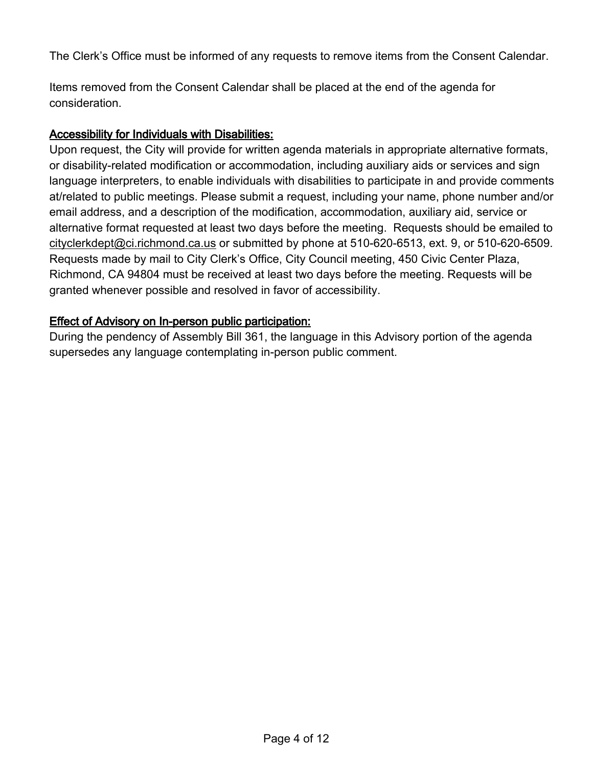The Clerk's Office must be informed of any requests to remove items from the Consent Calendar.

Items removed from the Consent Calendar shall be placed at the end of the agenda for consideration.

### Accessibility for Individuals with Disabilities:

Upon request, the City will provide for written agenda materials in appropriate alternative formats, or disability-related modification or accommodation, including auxiliary aids or services and sign language interpreters, to enable individuals with disabilities to participate in and provide comments at/related to public meetings. Please submit a request, including your name, phone number and/or email address, and a description of the modification, accommodation, auxiliary aid, service or alternative format requested at least two days before the meeting. Requests should be emailed to [cityclerkdept@ci.richmond.ca.us](mailto:cityclerkdept@ci.richmond.ca.us) or submitted by phone at 510-620-6513, ext. 9, or 510-620-6509. Requests made by mail to City Clerk's Office, City Council meeting, 450 Civic Center Plaza, Richmond, CA 94804 must be received at least two days before the meeting. Requests will be granted whenever possible and resolved in favor of accessibility.

### Effect of Advisory on In-person public participation:

During the pendency of Assembly Bill 361, the language in this Advisory portion of the agenda supersedes any language contemplating in-person public comment.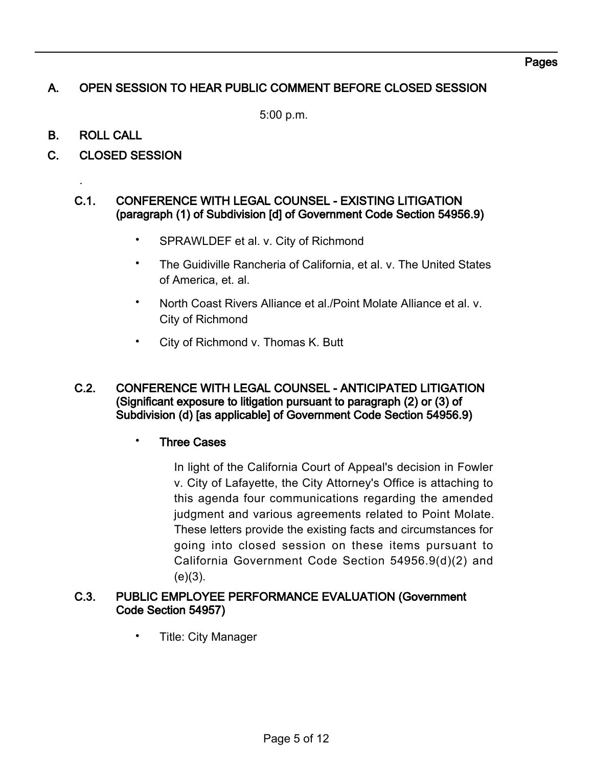# A. OPEN SESSION TO HEAR PUBLIC COMMENT BEFORE CLOSED SESSION

5:00 p.m.

B. ROLL CALL

.

C. CLOSED SESSION

### C.1. CONFERENCE WITH LEGAL COUNSEL - EXISTING LITIGATION (paragraph (1) of Subdivision [d] of Government Code Section 54956.9)

- SPRAWLDEF et al. v. City of Richmond
- The Guidiville Rancheria of California, et al. v. The United States of America, et. al.
- North Coast Rivers Alliance et al./Point Molate Alliance et al. v. City of Richmond
- City of Richmond v. Thomas K. Butt
- C.2. CONFERENCE WITH LEGAL COUNSEL ANTICIPATED LITIGATION (Significant exposure to litigation pursuant to paragraph (2) or (3) of Subdivision (d) [as applicable] of Government Code Section 54956.9)
	- Three Cases

In light of the California Court of Appeal's decision in Fowler v. City of Lafayette, the City Attorney's Office is attaching to this agenda four communications regarding the amended judgment and various agreements related to Point Molate. These letters provide the existing facts and circumstances for going into closed session on these items pursuant to California Government Code Section 54956.9(d)(2) and  $(e)(3)$ .

### C.3. PUBLIC EMPLOYEE PERFORMANCE EVALUATION (Government Code Section 54957)

• Title: City Manager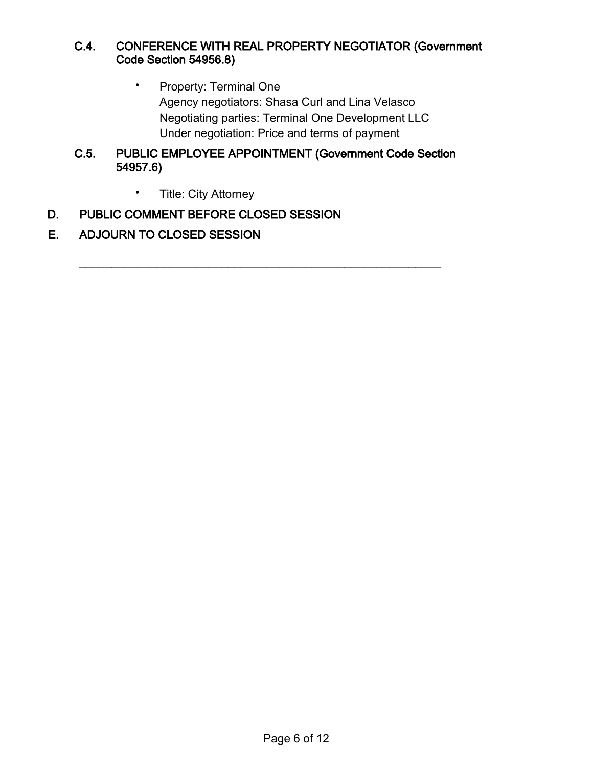### C.4. CONFERENCE WITH REAL PROPERTY NEGOTIATOR (Government Code Section 54956.8)

• Property: Terminal One Agency negotiators: Shasa Curl and Lina Velasco Negotiating parties: Terminal One Development LLC Under negotiation: Price and terms of payment

### C.5. PUBLIC EMPLOYEE APPOINTMENT (Government Code Section 54957.6)

 $\mathcal{L}_\text{max}$  , and the contract of the contract of the contract of the contract of the contract of the contract of the contract of the contract of the contract of the contract of the contract of the contract of the contr

• Title: City Attorney

# D. PUBLIC COMMENT BEFORE CLOSED SESSION

### E. ADJOURN TO CLOSED SESSION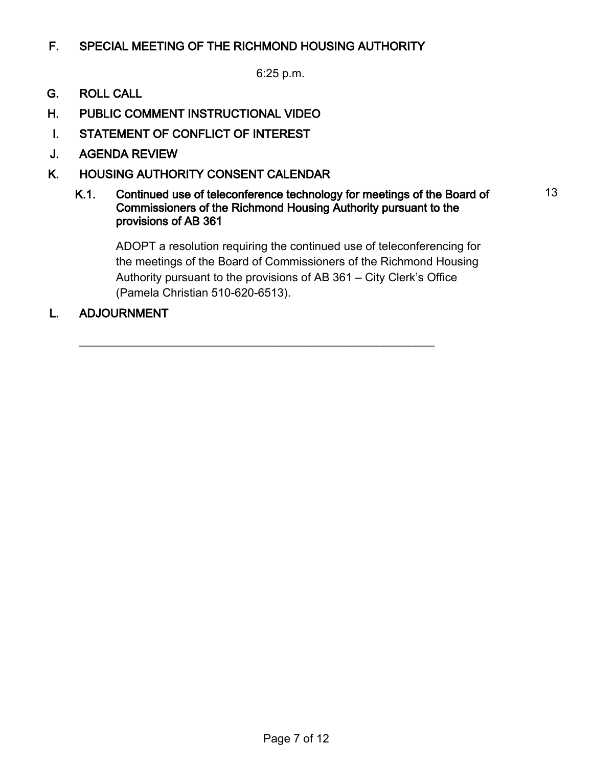# F. SPECIAL MEETING OF THE RICHMOND HOUSING AUTHORITY

6:25 p.m.

- G. ROLL CALL
- H. PUBLIC COMMENT INSTRUCTIONAL VIDEO
- I. STATEMENT OF CONFLICT OF INTEREST
- J. AGENDA REVIEW
- K. HOUSING AUTHORITY CONSENT CALENDAR
	- K.1. Continued use of teleconference technology for meetings of the Board of Commissioners of the Richmond Housing Authority pursuant to the provisions of AB 361

 $\overline{\phantom{a}}$  , and the contribution of the contribution of the contribution of the contribution of the contribution of the contribution of the contribution of the contribution of the contribution of the contribution of the

ADOPT a resolution requiring the continued use of teleconferencing for the meetings of the Board of Commissioners of the Richmond Housing Authority pursuant to the provisions of AB 361 – City Clerk's Office (Pamela Christian 510-620-6513).

13

L. ADJOURNMENT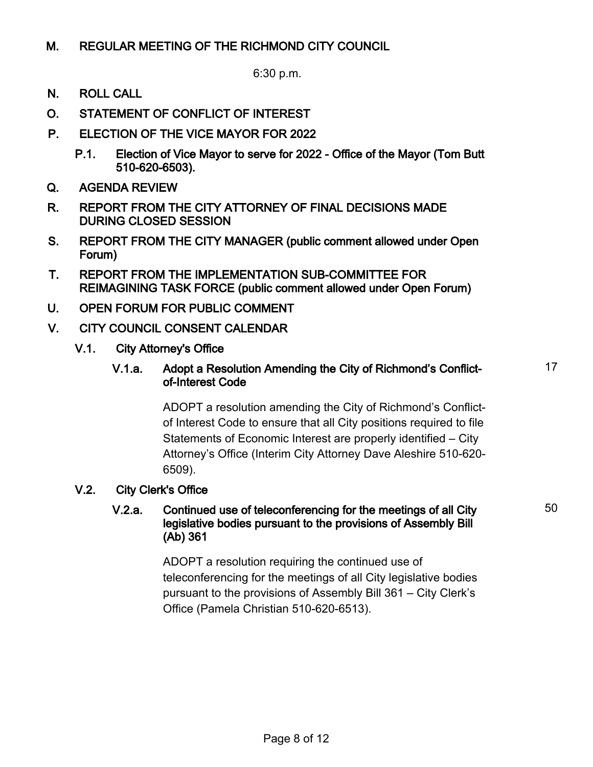## M. REGULAR MEETING OF THE RICHMOND CITY COUNCIL

6:30 p.m.

- N. ROLL CALL
- O. STATEMENT OF CONFLICT OF INTEREST
- P. ELECTION OF THE VICE MAYOR FOR 2022
	- P.1. Election of Vice Mayor to serve for 2022 Office of the Mayor (Tom Butt 510-620-6503).
- Q. AGENDA REVIEW
- R. REPORT FROM THE CITY ATTORNEY OF FINAL DECISIONS MADE DURING CLOSED SESSION
- S. REPORT FROM THE CITY MANAGER (public comment allowed under Open Forum)
- T. REPORT FROM THE IMPLEMENTATION SUB-COMMITTEE FOR REIMAGINING TASK FORCE (public comment allowed under Open Forum)
- U. OPEN FORUM FOR PUBLIC COMMENT
- V. CITY COUNCIL CONSENT CALENDAR
	- V.1. City Attorney's Office
		- V.1.a. Adopt a Resolution Amending the City of Richmond's Conflictof-Interest Code

ADOPT a resolution amending the City of Richmond's Conflictof Interest Code to ensure that all City positions required to file Statements of Economic Interest are properly identified – City Attorney's Office (Interim City Attorney Dave Aleshire 510-620- 6509).

### V.2. City Clerk's Office

#### V.2.a. Continued use of teleconferencing for the meetings of all City legislative bodies pursuant to the provisions of Assembly Bill (Ab) 361

ADOPT a resolution requiring the continued use of teleconferencing for the meetings of all City legislative bodies pursuant to the provisions of Assembly Bill 361 – City Clerk's Office (Pamela Christian 510-620-6513).

50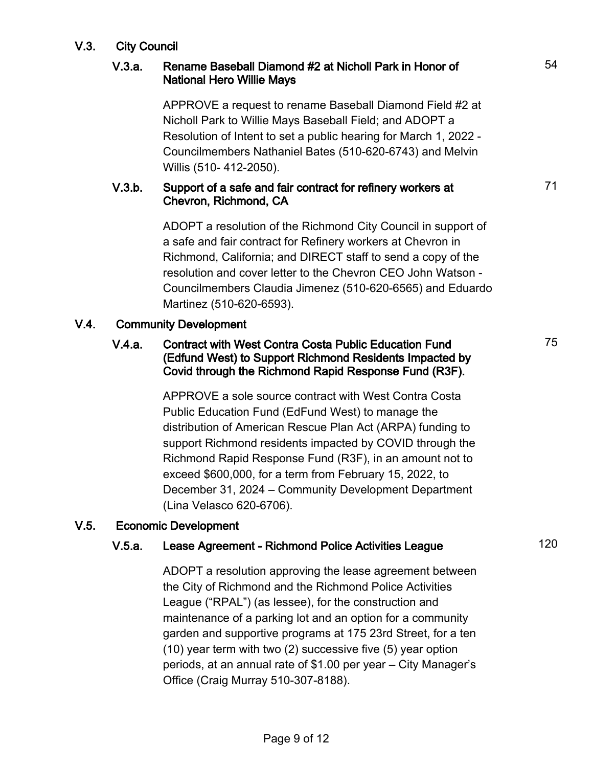### V.3. City Council

### V.3.a. Rename Baseball Diamond #2 at Nicholl Park in Honor of National Hero Willie Mays

APPROVE a request to rename Baseball Diamond Field #2 at Nicholl Park to Willie Mays Baseball Field; and ADOPT a Resolution of Intent to set a public hearing for March 1, 2022 - Councilmembers Nathaniel Bates (510-620-6743) and Melvin Willis (510- 412-2050).

#### V.3.b. Support of a safe and fair contract for refinery workers at Chevron, Richmond, CA

ADOPT a resolution of the Richmond City Council in support of a safe and fair contract for Refinery workers at Chevron in Richmond, California; and DIRECT staff to send a copy of the resolution and cover letter to the Chevron CEO John Watson - Councilmembers Claudia Jimenez (510-620-6565) and Eduardo Martinez (510-620-6593).

#### V.4. Community Development

#### V.4.a. Contract with West Contra Costa Public Education Fund (Edfund West) to Support Richmond Residents Impacted by Covid through the Richmond Rapid Response Fund (R3F).

APPROVE a sole source contract with West Contra Costa Public Education Fund (EdFund West) to manage the distribution of American Rescue Plan Act (ARPA) funding to support Richmond residents impacted by COVID through the Richmond Rapid Response Fund (R3F), in an amount not to exceed \$600,000, for a term from February 15, 2022, to December 31, 2024 – Community Development Department (Lina Velasco 620-6706).

### V.5. Economic Development

## V.5.a. Lease Agreement - Richmond Police Activities League 120

ADOPT a resolution approving the lease agreement between the City of Richmond and the Richmond Police Activities League ("RPAL") (as lessee), for the construction and maintenance of a parking lot and an option for a community garden and supportive programs at 175 23rd Street, for a ten (10) year term with two (2) successive five (5) year option periods, at an annual rate of \$1.00 per year – City Manager's Office (Craig Murray 510-307-8188).

71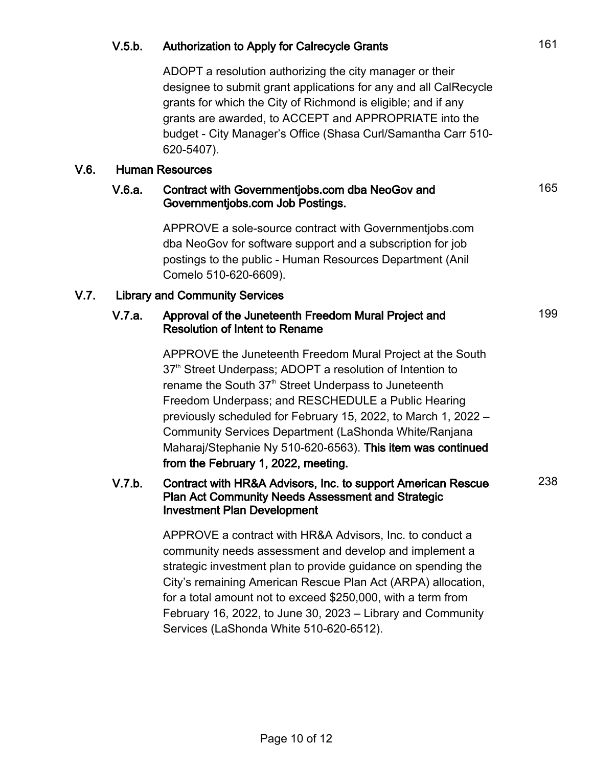## V.5.b. Authorization to Apply for Calrecycle Grants **161**

ADOPT a resolution authorizing the city manager or their designee to submit grant applications for any and all CalRecycle grants for which the City of Richmond is eligible; and if any grants are awarded, to ACCEPT and APPROPRIATE into the budget - City Manager's Office (Shasa Curl/Samantha Carr 510- 620-5407).

### V.6. Human Resources

#### V.6.a. Contract with Governmentjobs.com dba NeoGov and Governmentjobs.com Job Postings.

APPROVE a sole-source contract with Governmentjobs.com dba NeoGov for software support and a subscription for job postings to the public - Human Resources Department (Anil Comelo 510-620-6609).

## V.7. Library and Community Services

#### V.7.a. Approval of the Juneteenth Freedom Mural Project and Resolution of Intent to Rename

APPROVE the Juneteenth Freedom Mural Project at the South 37<sup>th</sup> Street Underpass; ADOPT a resolution of Intention to rename the South 37<sup>th</sup> Street Underpass to Juneteenth Freedom Underpass; and RESCHEDULE a Public Hearing previously scheduled for February 15, 2022, to March 1, 2022 – Community Services Department (LaShonda White/Ranjana Maharaj/Stephanie Ny 510-620-6563). This item was continued from the February 1, 2022, meeting.

### V.7.b. Contract with HR&A Advisors, Inc. to support American Rescue Plan Act Community Needs Assessment and Strategic Investment Plan Development

APPROVE a contract with HR&A Advisors, Inc. to conduct a community needs assessment and develop and implement a strategic investment plan to provide guidance on spending the City's remaining American Rescue Plan Act (ARPA) allocation, for a total amount not to exceed \$250,000, with a term from February 16, 2022, to June 30, 2023 – Library and Community Services (LaShonda White 510-620-6512).

165

199

238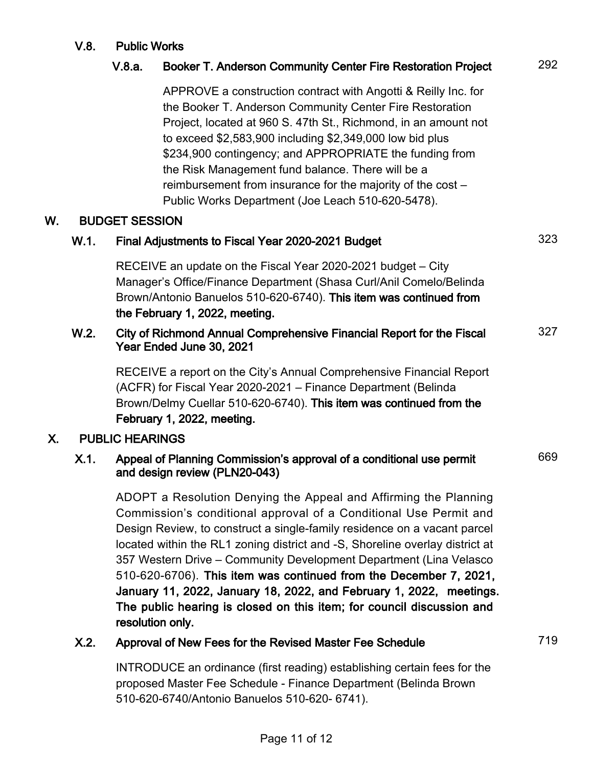### V.8. Public Works

# V.8.a. Booker T. Anderson Community Center Fire Restoration Project 292

APPROVE a construction contract with Angotti & Reilly Inc. for the Booker T. Anderson Community Center Fire Restoration Project, located at 960 S. 47th St., Richmond, in an amount not to exceed \$2,583,900 including \$2,349,000 low bid plus \$234,900 contingency; and APPROPRIATE the funding from the Risk Management fund balance. There will be a reimbursement from insurance for the majority of the cost – Public Works Department (Joe Leach 510-620-5478).

#### W. BUDGET SESSION

| W.1. | Final Adjustments to Fiscal Year 2020-2021 Budget | 323 |
|------|---------------------------------------------------|-----|
|------|---------------------------------------------------|-----|

RECEIVE an update on the Fiscal Year 2020-2021 budget – City Manager's Office/Finance Department (Shasa Curl/Anil Comelo/Belinda Brown/Antonio Banuelos 510-620-6740). This item was continued from the February 1, 2022, meeting.

#### W.2. City of Richmond Annual Comprehensive Financial Report for the Fiscal Year Ended June 30, 2021 327

RECEIVE a report on the City's Annual Comprehensive Financial Report (ACFR) for Fiscal Year 2020-2021 – Finance Department (Belinda Brown/Delmy Cuellar 510-620-6740). This item was continued from the February 1, 2022, meeting.

### X. PUBLIC HEARINGS

#### X.1. Appeal of Planning Commission's approval of a conditional use permit and design review (PLN20-043) 669

ADOPT a Resolution Denying the Appeal and Affirming the Planning Commission's conditional approval of a Conditional Use Permit and Design Review, to construct a single-family residence on a vacant parcel located within the RL1 zoning district and -S, Shoreline overlay district at 357 Western Drive – Community Development Department (Lina Velasco 510-620-6706). This item was continued from the December 7, 2021, January 11, 2022, January 18, 2022, and February 1, 2022, meetings. The public hearing is closed on this item; for council discussion and resolution only.

## X.2. Approval of New Fees for the Revised Master Fee Schedule 719

INTRODUCE an ordinance (first reading) establishing certain fees for the proposed Master Fee Schedule - Finance Department (Belinda Brown 510-620-6740/Antonio Banuelos 510-620- 6741).